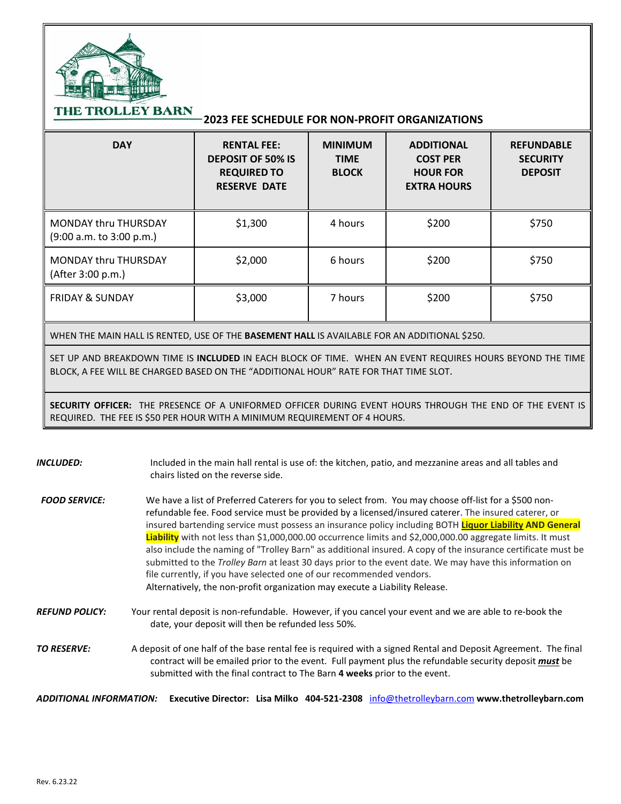

THE TROLLEY BARN

## **2023 FEE SCHEDULE FOR NON-PROFIT ORGANIZATIONS**

| <b>DAY</b>                                              | <b>RENTAL FEE:</b><br><b>DEPOSIT OF 50% IS</b><br><b>REQUIRED TO</b><br><b>RESERVE DATE</b> | <b>MINIMUM</b><br><b>TIME</b><br><b>BLOCK</b> | <b>ADDITIONAL</b><br><b>COST PER</b><br><b>HOUR FOR</b><br><b>EXTRA HOURS</b> | <b>REFUNDABLE</b><br><b>SECURITY</b><br><b>DEPOSIT</b> |
|---------------------------------------------------------|---------------------------------------------------------------------------------------------|-----------------------------------------------|-------------------------------------------------------------------------------|--------------------------------------------------------|
| <b>MONDAY thru THURSDAY</b><br>(9:00 a.m. to 3:00 p.m.) | \$1,300                                                                                     | 4 hours                                       | \$200                                                                         | \$750                                                  |
| <b>MONDAY thru THURSDAY</b><br>(After 3:00 p.m.)        | \$2,000                                                                                     | 6 hours                                       | \$200                                                                         | \$750                                                  |
| <b>FRIDAY &amp; SUNDAY</b>                              | \$3,000                                                                                     | 7 hours                                       | \$200                                                                         | \$750                                                  |

WHEN THE MAIN HALL IS RENTED, USE OF THE **BASEMENT HALL** IS AVAILABLE FOR AN ADDITIONAL \$250.

SET UP AND BREAKDOWN TIME IS **INCLUDED** IN EACH BLOCK OF TIME. WHEN AN EVENT REQUIRES HOURS BEYOND THE TIME BLOCK, A FEE WILL BE CHARGED BASED ON THE "ADDITIONAL HOUR" RATE FOR THAT TIME SLOT.

**SECURITY OFFICER:** THE PRESENCE OF A UNIFORMED OFFICER DURING EVENT HOURS THROUGH THE END OF THE EVENT IS REQUIRED. THE FEE IS \$50 PER HOUR WITH A MINIMUM REQUIREMENT OF 4 HOURS.

*INCLUDED:* Included in the main hall rental is use of: the kitchen, patio, and mezzanine areas and all tables and chairs listed on the reverse side. FOOD SERVICE: We have a list of Preferred Caterers for you to select from. You may choose off-list for a \$500 nonrefundable fee. Food service must be provided by a licensed/insured caterer. The insured caterer, or insured bartending service must possess an insurance policy including BOTH **Liquor Liability AND General Liability** with not less than \$1,000,000.00 occurrence limits and \$2,000,000.00 aggregate limits. It must also include the naming of "Trolley Barn" as additional insured. A copy of the insurance certificate must be submitted to the *Trolley Barn* at least 30 days prior to the event date. We may have this information on file currently, if you have selected one of our recommended vendors. Alternatively, the non-profit organization may execute a Liability Release. *REFUND POLICY:* Your rental deposit is non-refundable. However, if you cancel your event and we are able to re-book the date, your deposit will then be refunded less 50%. *TO RESERVE:* A deposit of one half of the base rental fee is required with a signed Rental and Deposit Agreement. The final contract will be emailed prior to the event. Full payment plus the refundable security deposit *must* be submitted with the final contract to The Barn **4 weeks** prior to the event.

*ADDITIONAL INFORMATION:* **Executive Director: Lisa Milko 404-521-2308** [info@thetrolleybarn.com](mailto:info@thetrolleybarn.com) **www.thetrolleybarn.com**